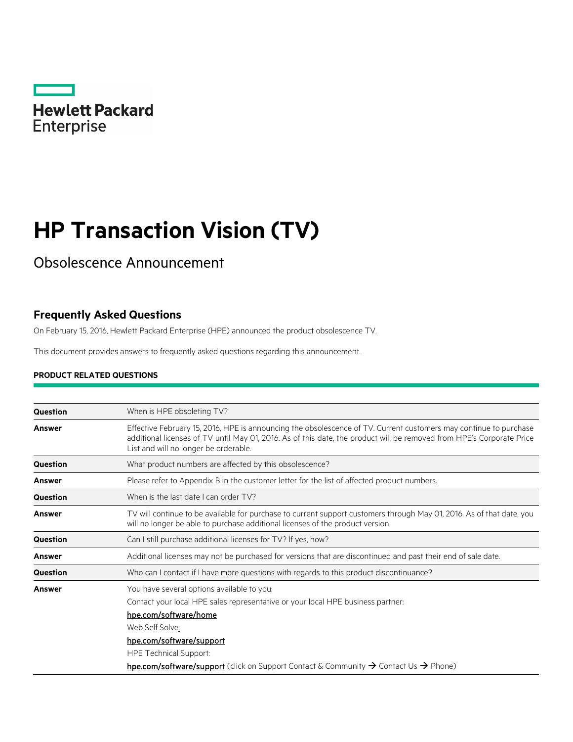

# **HP Transaction Vision (TV)**

## Obsolescence Announcement

### **Frequently Asked Questions**

On February 15, 2016, Hewlett Packard Enterprise (HPE) announced the product obsolescence TV.

This document provides answers to frequently asked questions regarding this announcement.

#### **PRODUCT RELATED QUESTIONS**

| Question        | When is HPE obsoleting TV?                                                                                                                                                                                                                                                          |
|-----------------|-------------------------------------------------------------------------------------------------------------------------------------------------------------------------------------------------------------------------------------------------------------------------------------|
| <b>Answer</b>   | Effective February 15, 2016, HPE is announcing the obsolescence of TV. Current customers may continue to purchase<br>additional licenses of TV until May 01, 2016. As of this date, the product will be removed from HPE's Corporate Price<br>List and will no longer be orderable. |
| Question        | What product numbers are affected by this obsolescence?                                                                                                                                                                                                                             |
| <b>Answer</b>   | Please refer to Appendix B in the customer letter for the list of affected product numbers.                                                                                                                                                                                         |
| <b>Question</b> | When is the last date I can order TV?                                                                                                                                                                                                                                               |
| <b>Answer</b>   | TV will continue to be available for purchase to current support customers through May 01, 2016. As of that date, you<br>will no longer be able to purchase additional licenses of the product version.                                                                             |
| Question        | Can I still purchase additional licenses for TV? If yes, how?                                                                                                                                                                                                                       |
| Answer          | Additional licenses may not be purchased for versions that are discontinued and past their end of sale date.                                                                                                                                                                        |
| <b>Question</b> | Who can I contact if I have more questions with regards to this product discontinuance?                                                                                                                                                                                             |
| <b>Answer</b>   | You have several options available to you:<br>Contact your local HPE sales representative or your local HPE business partner:<br>hpe.com/software/home<br>Web Self Solve:<br>hpe.com/software/support<br><b>HPE Technical Support:</b>                                              |
|                 | hpe.com/software/support (click on Support Contact & Community → Contact Us → Phone)                                                                                                                                                                                                |